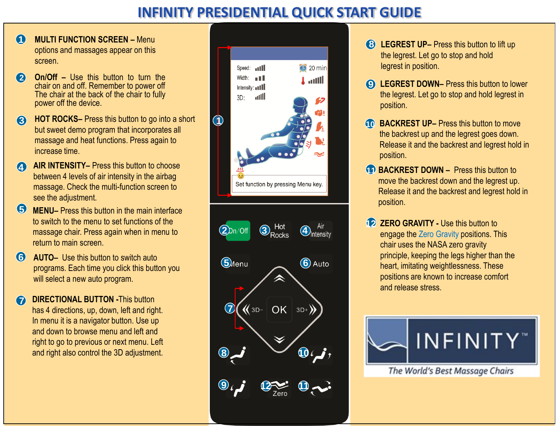## **INFINITY PRESIDENTIAL QUICK START GUIDE**

- **MULTI FUNCTION SCREEN –** Menu options and massages appear on this screen. **1**
- **2 On/Off –** Use this button to turn the chair on and off. Remember to power off The chair at the back of the chair to fully power off the device.
- **3 HOT ROCKS–** Press this button to go into a short but sweet demo program that incorporates all massage and heat functions. Press again to increase time.
- **4 AIR INTENSITY–** Press this button to choose between 4 levels of air intensity in the airbag massage. Check the multi-function screen to see the adjustment.
- **MENU–** Press this button in the main interface to switch to the menu to set functions of the massage chair. Press again when in menu to return to main screen. **5**
- **6 AUTO–** Use this button to switch auto programs. Each time you click this button you will select a new auto program.
- **DIRECTIONAL BUTTON This button** has 4 directions, up, down, left and right. In menu it is a navigator button. Use up and down to browse menu and left and right to go to previous or next menu. Left and right also control the 3D adjustment. **7**



- **8 LEGREST UP–** Press this button to lift up the legrest. Let go to stop and hold legrest in position.
- **9 LEGREST DOWN–** Press this button to lower the legrest. Let go to stop and hold legrest in position.
- **10 BACKREST UP–** Press this button to move the backrest up and the legrest goes down. Release it and the backrest and legrest hold in position.
- **11 BACKREST DOWN –** Press this button to move the backrest down and the legrest up. Release it and the backrest and legrest hold in position.
- **12 ZERO GRAVITY Use this button to** engage the Zero Gravity positions. This chair uses the NASA zero gravity principle, keeping the legs higher than the heart, imitating weightlessness. These positions are known to increase comfort and release stress.



The World's Best Massage Chairs